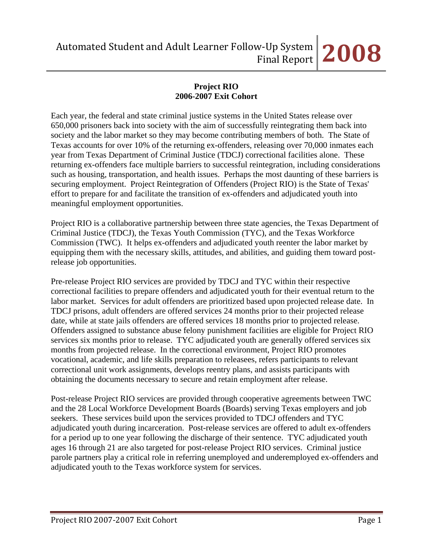# **Project RIO 2006-2007 Exit Cohort**

Each year, the federal and state criminal justice systems in the United States release over 650,000 prisoners back into society with the aim of successfully reintegrating them back into society and the labor market so they may become contributing members of both. The State of Texas accounts for over 10% of the returning ex-offenders, releasing over 70,000 inmates each year from Texas Department of Criminal Justice (TDCJ) correctional facilities alone. These returning ex-offenders face multiple barriers to successful reintegration, including considerations such as housing, transportation, and health issues. Perhaps the most daunting of these barriers is securing employment. Project Reintegration of Offenders (Project RIO) is the State of Texas' effort to prepare for and facilitate the transition of ex-offenders and adjudicated youth into meaningful employment opportunities.

Project RIO is a collaborative partnership between three state agencies, the Texas Department of Criminal Justice (TDCJ), the Texas Youth Commission (TYC), and the Texas Workforce Commission (TWC). It helps ex-offenders and adjudicated youth reenter the labor market by equipping them with the necessary skills, attitudes, and abilities, and guiding them toward postrelease job opportunities.

Pre-release Project RIO services are provided by TDCJ and TYC within their respective correctional facilities to prepare offenders and adjudicated youth for their eventual return to the labor market. Services for adult offenders are prioritized based upon projected release date. In TDCJ prisons, adult offenders are offered services 24 months prior to their projected release date, while at state jails offenders are offered services 18 months prior to projected release. Offenders assigned to substance abuse felony punishment facilities are eligible for Project RIO services six months prior to release. TYC adjudicated youth are generally offered services six months from projected release. In the correctional environment, Project RIO promotes vocational, academic, and life skills preparation to releasees, refers participants to relevant correctional unit work assignments, develops reentry plans, and assists participants with obtaining the documents necessary to secure and retain employment after release.

Post-release Project RIO services are provided through cooperative agreements between TWC and the 28 Local Workforce Development Boards (Boards) serving Texas employers and job seekers. These services build upon the services provided to TDCJ offenders and TYC adjudicated youth during incarceration. Post-release services are offered to adult ex-offenders for a period up to one year following the discharge of their sentence. TYC adjudicated youth ages 16 through 21 are also targeted for post-release Project RIO services. Criminal justice parole partners play a critical role in referring unemployed and underemployed ex-offenders and adjudicated youth to the Texas workforce system for services.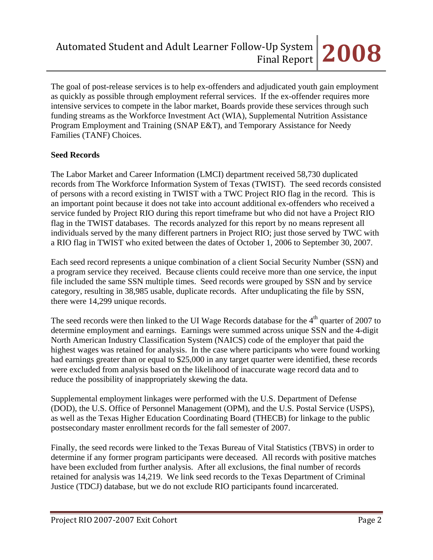The goal of post-release services is to help ex-offenders and adjudicated youth gain employment as quickly as possible through employment referral services. If the ex-offender requires more intensive services to compete in the labor market, Boards provide these services through such funding streams as the Workforce Investment Act (WIA), Supplemental Nutrition Assistance Program Employment and Training (SNAP E&T), and Temporary Assistance for Needy Families (TANF) Choices.

## **Seed Records**

The Labor Market and Career Information (LMCI) department received 58,730 duplicated records from The Workforce Information System of Texas (TWIST). The seed records consisted of persons with a record existing in TWIST with a TWC Project RIO flag in the record. This is an important point because it does not take into account additional ex-offenders who received a service funded by Project RIO during this report timeframe but who did not have a Project RIO flag in the TWIST databases. The records analyzed for this report by no means represent all individuals served by the many different partners in Project RIO; just those served by TWC with a RIO flag in TWIST who exited between the dates of October 1, 2006 to September 30, 2007.

Each seed record represents a unique combination of a client Social Security Number (SSN) and a program service they received. Because clients could receive more than one service, the input file included the same SSN multiple times. Seed records were grouped by SSN and by service category, resulting in 38,985 usable, duplicate records. After unduplicating the file by SSN, there were 14,299 unique records.

The seed records were then linked to the UI Wage Records database for the  $4<sup>th</sup>$  quarter of 2007 to determine employment and earnings. Earnings were summed across unique SSN and the 4-digit North American Industry Classification System (NAICS) code of the employer that paid the highest wages was retained for analysis. In the case where participants who were found working had earnings greater than or equal to \$25,000 in any target quarter were identified, these records were excluded from analysis based on the likelihood of inaccurate wage record data and to reduce the possibility of inappropriately skewing the data.

Supplemental employment linkages were performed with the U.S. Department of Defense (DOD), the U.S. Office of Personnel Management (OPM), and the U.S. Postal Service (USPS), as well as the Texas Higher Education Coordinating Board (THECB) for linkage to the public postsecondary master enrollment records for the fall semester of 2007.

Finally, the seed records were linked to the Texas Bureau of Vital Statistics (TBVS) in order to determine if any former program participants were deceased. All records with positive matches have been excluded from further analysis. After all exclusions, the final number of records retained for analysis was 14,219. We link seed records to the Texas Department of Criminal Justice (TDCJ) database, but we do not exclude RIO participants found incarcerated.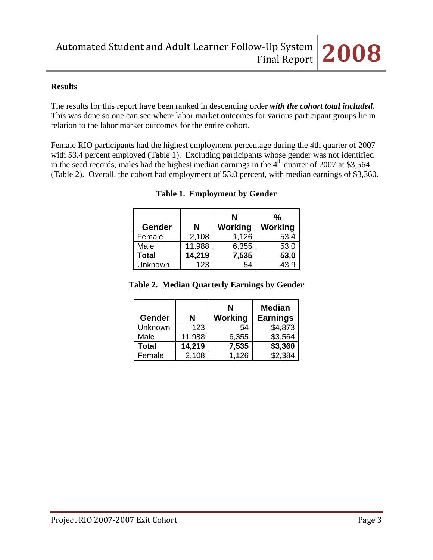#### **Results**

The results for this report have been ranked in descending order *with the cohort total included.* This was done so one can see where labor market outcomes for various participant groups lie in relation to the labor market outcomes for the entire cohort.

Female RIO participants had the highest employment percentage during the 4th quarter of 2007 with 53.4 percent employed (Table 1). Excluding participants whose gender was not identified in the seed records, males had the highest median earnings in the  $4<sup>th</sup>$  quarter of 2007 at \$3,564 (Table 2). Overall, the cohort had employment of 53.0 percent, with median earnings of \$3,360.

| <b>Gender</b> | N      | N<br>Working | %<br><b>Working</b> |
|---------------|--------|--------------|---------------------|
| Female        | 2,108  | 1,126        | 53.4                |
| Male          | 11,988 | 6,355        | 53.0                |
| <b>Total</b>  | 14,219 | 7,535        | 53.0                |
| Unknown       | 123    | 54           | 43.9                |

|  | <b>Table 1. Employment by Gender</b> |  |
|--|--------------------------------------|--|
|--|--------------------------------------|--|

#### **Table 2. Median Quarterly Earnings by Gender**

| Gender       | N      | N<br>Working | <b>Median</b><br><b>Earnings</b> |
|--------------|--------|--------------|----------------------------------|
| Unknown      | 123    | 54           | \$4,873                          |
| Male         | 11,988 | 6,355        | \$3,564                          |
| <b>Total</b> | 14,219 | 7,535        | \$3,360                          |
| Female       | 2,108  | 1,126        | \$2,384                          |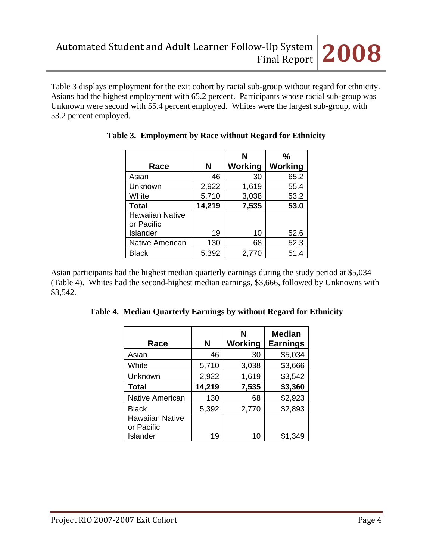Table 3 displays employment for the exit cohort by racial sub-group without regard for ethnicity. Asians had the highest employment with 65.2 percent. Participants whose racial sub-group was Unknown were second with 55.4 percent employed. Whites were the largest sub-group, with 53.2 percent employed.

|                        |        | N       | %              |
|------------------------|--------|---------|----------------|
| Race                   | N      | Working | <b>Working</b> |
| Asian                  | 46     | 30      | 65.2           |
| Unknown                | 2,922  | 1,619   | 55.4           |
| White                  | 5,710  | 3,038   | 53.2           |
| <b>Total</b>           | 14,219 | 7,535   | 53.0           |
| <b>Hawaiian Native</b> |        |         |                |
| or Pacific             |        |         |                |
| Islander               | 19     | 10      | 52.6           |
| <b>Native American</b> | 130    | 68      | 52.3           |
| <b>Black</b>           | 5,392  | 2,770   | 51.4           |

|  |  | Table 3. Employment by Race without Regard for Ethnicity |
|--|--|----------------------------------------------------------|
|  |  |                                                          |

Asian participants had the highest median quarterly earnings during the study period at \$5,034 (Table 4). Whites had the second-highest median earnings, \$3,666, followed by Unknowns with \$3,542.

|  |  |  | Table 4. Median Quarterly Earnings by without Regard for Ethnicity |
|--|--|--|--------------------------------------------------------------------|

| Race                                 | N      | N<br><b>Working</b> | <b>Median</b><br><b>Earnings</b> |
|--------------------------------------|--------|---------------------|----------------------------------|
| Asian                                | 46     | 30                  | \$5,034                          |
| White                                | 5,710  | 3,038               | \$3,666                          |
| Unknown                              | 2,922  | 1,619               | \$3,542                          |
| <b>Total</b>                         | 14,219 | 7,535               | \$3,360                          |
| <b>Native American</b>               | 130    | 68                  | \$2,923                          |
| <b>Black</b>                         | 5,392  | 2,770               | \$2,893                          |
| <b>Hawaiian Native</b><br>or Pacific |        |                     |                                  |
| Islander                             | 19     | 10                  | \$1,349                          |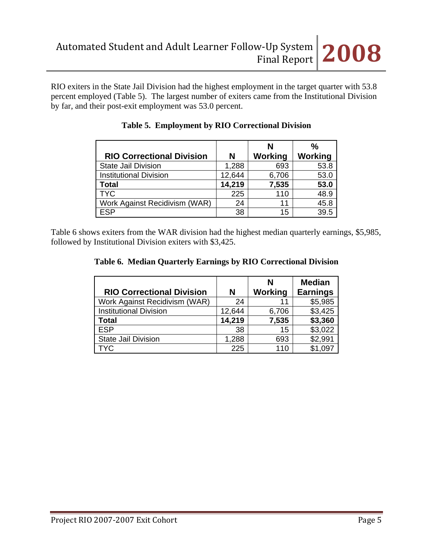RIO exiters in the State Jail Division had the highest employment in the target quarter with 53.8 percent employed (Table 5). The largest number of exiters came from the Institutional Division by far, and their post-exit employment was 53.0 percent.

|                                  |        | N       | $\frac{0}{0}$ |
|----------------------------------|--------|---------|---------------|
| <b>RIO Correctional Division</b> | N      | Working | Working       |
| State Jail Division              | 1,288  | 693     | 53.8          |
| Institutional Division           | 12,644 | 6,706   | 53.0          |
| Total                            | 14,219 | 7,535   | 53.0          |
| <b>TYC</b>                       | 225    | 110     | 48.9          |
| Work Against Recidivism (WAR)    | 24     | 11      | 45.8          |
| <b>ESP</b>                       | 38     | 15      | 39.5          |

|  |  | Table 5. Employment by RIO Correctional Division |
|--|--|--------------------------------------------------|
|--|--|--------------------------------------------------|

Table 6 shows exiters from the WAR division had the highest median quarterly earnings, \$5,985, followed by Institutional Division exiters with \$3,425.

|  |  |  |  |  | Table 6. Median Quarterly Earnings by RIO Correctional Division |
|--|--|--|--|--|-----------------------------------------------------------------|
|--|--|--|--|--|-----------------------------------------------------------------|

|                                  |        | N              | <b>Median</b>   |
|----------------------------------|--------|----------------|-----------------|
| <b>RIO Correctional Division</b> | N      | <b>Working</b> | <b>Earnings</b> |
| Work Against Recidivism (WAR)    | 24     | 11             | \$5,985         |
| <b>Institutional Division</b>    | 12,644 | 6,706          | \$3,425         |
| <b>Total</b>                     | 14,219 | 7,535          | \$3,360         |
| <b>ESP</b>                       | 38     | 15             | \$3,022         |
| <b>State Jail Division</b>       | 1,288  | 693            | \$2,991         |
| <b>TYC</b>                       | 225    | 110            | \$1,097         |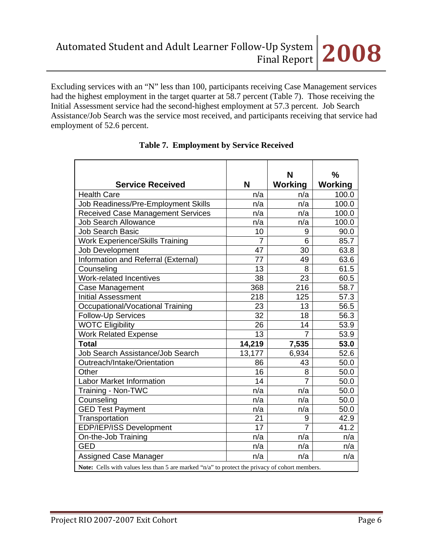Excluding services with an "N" less than 100, participants receiving Case Management services had the highest employment in the target quarter at 58.7 percent (Table 7). Those receiving the Initial Assessment service had the second-highest employment at 57.3 percent. Job Search Assistance/Job Search was the service most received, and participants receiving that service had employment of 52.6 percent.

|                                                                                                |                | N              | %       |
|------------------------------------------------------------------------------------------------|----------------|----------------|---------|
| <b>Service Received</b>                                                                        | N              | <b>Working</b> | Working |
| <b>Health Care</b>                                                                             | n/a            | n/a            | 100.0   |
| Job Readiness/Pre-Employment Skills                                                            | n/a            | n/a            | 100.0   |
| <b>Received Case Management Services</b>                                                       | n/a            | n/a            | 100.0   |
| <b>Job Search Allowance</b>                                                                    | n/a            | n/a            | 100.0   |
| <b>Job Search Basic</b>                                                                        | 10             | 9              | 90.0    |
| <b>Work Experience/Skills Training</b>                                                         | $\overline{7}$ | 6              | 85.7    |
| Job Development                                                                                | 47             | 30             | 63.8    |
| Information and Referral (External)                                                            | 77             | 49             | 63.6    |
| Counseling                                                                                     | 13             | 8              | 61.5    |
| Work-related Incentives                                                                        | 38             | 23             | 60.5    |
| Case Management                                                                                | 368            | 216            | 58.7    |
| <b>Initial Assessment</b>                                                                      | 218            | 125            | 57.3    |
| Occupational/Vocational Training                                                               | 23             | 13             | 56.5    |
| <b>Follow-Up Services</b>                                                                      | 32             | 18             | 56.3    |
| <b>WOTC Eligibility</b>                                                                        | 26             | 14             | 53.9    |
| <b>Work Related Expense</b>                                                                    | 13             | $\overline{7}$ | 53.9    |
| <b>Total</b>                                                                                   | 14,219         | 7,535          | 53.0    |
| Job Search Assistance/Job Search                                                               | 13,177         | 6,934          | 52.6    |
| Outreach/Intake/Orientation                                                                    | 86             | 43             | 50.0    |
| Other                                                                                          | 16             | 8              | 50.0    |
| <b>Labor Market Information</b>                                                                | 14             | $\overline{7}$ | 50.0    |
| Training - Non-TWC                                                                             | n/a            | n/a            | 50.0    |
| Counseling                                                                                     | n/a            | n/a            | 50.0    |
| <b>GED Test Payment</b>                                                                        | n/a            | n/a            | 50.0    |
| Transportation                                                                                 | 21             | 9              | 42.9    |
| EDP/IEP/ISS Development                                                                        | 17             | $\overline{7}$ | 41.2    |
| On-the-Job Training                                                                            | n/a            | n/a            | n/a     |
| <b>GED</b>                                                                                     | n/a            | n/a            | n/a     |
| Assigned Case Manager                                                                          | n/a            | n/a            | n/a     |
| Note: Cells with values less than 5 are marked "n/a" to protect the privacy of cohort members. |                |                |         |

## **Table 7. Employment by Service Received**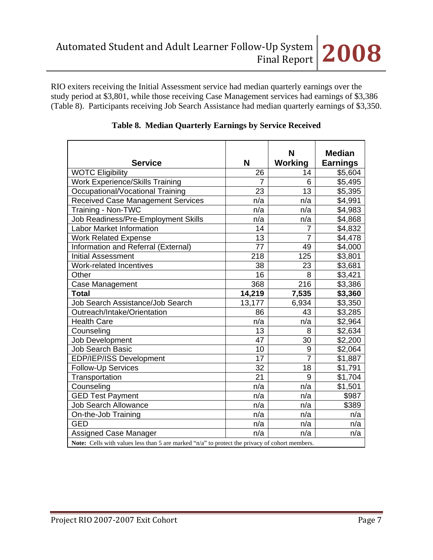RIO exiters receiving the Initial Assessment service had median quarterly earnings over the study period at \$3,801, while those receiving Case Management services had earnings of \$3,386 (Table 8). Participants receiving Job Search Assistance had median quarterly earnings of \$3,350.

| <b>Service</b>                                                                                 | N      | N<br><b>Working</b> | <b>Median</b><br><b>Earnings</b> |  |
|------------------------------------------------------------------------------------------------|--------|---------------------|----------------------------------|--|
| <b>WOTC Eligibility</b>                                                                        | 26     | 14                  | \$5,604                          |  |
| <b>Work Experience/Skills Training</b>                                                         | 7      | 6                   | \$5,495                          |  |
| Occupational/Vocational Training                                                               | 23     | 13                  | \$5,395                          |  |
| <b>Received Case Management Services</b>                                                       | n/a    | n/a                 | \$4,991                          |  |
| Training - Non-TWC                                                                             | n/a    | n/a                 | \$4,983                          |  |
| Job Readiness/Pre-Employment Skills                                                            | n/a    | n/a                 | \$4,868                          |  |
| <b>Labor Market Information</b>                                                                | 14     | 7                   | \$4,832                          |  |
| <b>Work Related Expense</b>                                                                    | 13     | 7                   | \$4,478                          |  |
| Information and Referral (External)                                                            | 77     | 49                  | \$4,000                          |  |
| <b>Initial Assessment</b>                                                                      | 218    | 125                 | \$3,801                          |  |
| Work-related Incentives                                                                        | 38     | 23                  | \$3,681                          |  |
| Other                                                                                          | 16     | 8                   | \$3,421                          |  |
| Case Management                                                                                | 368    | 216                 | \$3,386                          |  |
| <b>Total</b>                                                                                   | 14,219 | 7,535               | \$3,360                          |  |
| Job Search Assistance/Job Search                                                               | 13,177 | 6,934               | \$3,350                          |  |
| Outreach/Intake/Orientation                                                                    | 86     | 43                  | \$3,285                          |  |
| <b>Health Care</b>                                                                             | n/a    | n/a                 | \$2,964                          |  |
| Counseling                                                                                     | 13     | 8                   | \$2,634                          |  |
| Job Development                                                                                | 47     | 30                  | \$2,200                          |  |
| <b>Job Search Basic</b>                                                                        | 10     | 9                   | \$2,064                          |  |
| EDP/IEP/ISS Development                                                                        | 17     | $\overline{7}$      | \$1,887                          |  |
| Follow-Up Services                                                                             | 32     | 18                  | \$1,791                          |  |
| Transportation                                                                                 | 21     | 9                   | \$1,704                          |  |
| Counseling                                                                                     | n/a    | n/a                 | $\overline{\$1,501}$             |  |
| <b>GED Test Payment</b>                                                                        | n/a    | n/a                 | \$987                            |  |
| <b>Job Search Allowance</b>                                                                    | n/a    | n/a                 | \$389                            |  |
| On-the-Job Training                                                                            | n/a    | n/a                 | n/a                              |  |
| <b>GED</b>                                                                                     | n/a    | n/a                 | n/a                              |  |
| <b>Assigned Case Manager</b>                                                                   | n/a    | n/a                 | n/a                              |  |
| Note: Cells with values less than 5 are marked "n/a" to protect the privacy of cohort members. |        |                     |                                  |  |

#### **Table 8. Median Quarterly Earnings by Service Received**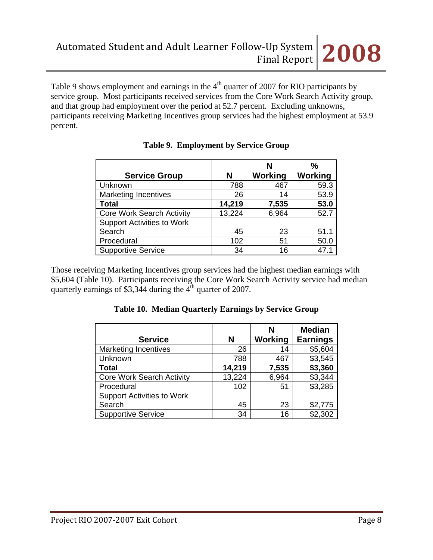Table 9 shows employment and earnings in the  $4<sup>th</sup>$  quarter of 2007 for RIO participants by service group. Most participants received services from the Core Work Search Activity group, and that group had employment over the period at 52.7 percent. Excluding unknowns, participants receiving Marketing Incentives group services had the highest employment at 53.9 percent.

|                                   |        |                | %       |
|-----------------------------------|--------|----------------|---------|
| <b>Service Group</b>              | N      | <b>Working</b> | Working |
| Unknown                           | 788    | 467            | 59.3    |
| <b>Marketing Incentives</b>       | 26     | 14             | 53.9    |
| <b>Total</b>                      | 14,219 | 7,535          | 53.0    |
| <b>Core Work Search Activity</b>  | 13,224 | 6,964          | 52.7    |
| <b>Support Activities to Work</b> |        |                |         |
| Search                            | 45     | 23             | 51.1    |
| Procedural                        | 102    | 51             | 50.0    |
| <b>Supportive Service</b>         | 34     | 16             | 47.1    |

# **Table 9. Employment by Service Group**

Those receiving Marketing Incentives group services had the highest median earnings with \$5,604 (Table 10). Participants receiving the Core Work Search Activity service had median quarterly earnings of \$3,344 during the  $4<sup>th</sup>$  quarter of 2007.

## **Table 10. Median Quarterly Earnings by Service Group**

| <b>Service</b>                    | N      | N<br><b>Working</b> | <b>Median</b><br><b>Earnings</b> |
|-----------------------------------|--------|---------------------|----------------------------------|
| <b>Marketing Incentives</b>       | 26     | 14                  | \$5,604                          |
| Unknown                           | 788    | 467                 | \$3,545                          |
| <b>Total</b>                      | 14,219 | 7,535               | \$3,360                          |
| <b>Core Work Search Activity</b>  | 13,224 | 6,964               | \$3,344                          |
| Procedural                        | 102    | 51                  | \$3,285                          |
| <b>Support Activities to Work</b> |        |                     |                                  |
| Search                            | 45     | 23                  | \$2,775                          |
| <b>Supportive Service</b>         | 34     | 16                  | \$2,302                          |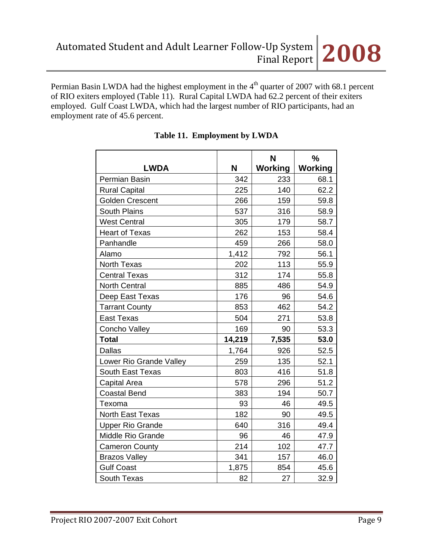

Permian Basin LWDA had the highest employment in the 4<sup>th</sup> quarter of 2007 with 68.1 percent of RIO exiters employed (Table 11). Rural Capital LWDA had 62.2 percent of their exiters employed. Gulf Coast LWDA, which had the largest number of RIO participants, had an employment rate of 45.6 percent.

| <b>LWDA</b>             | N      | N<br>Working | $\frac{0}{0}$<br><b>Working</b> |  |
|-------------------------|--------|--------------|---------------------------------|--|
| Permian Basin           | 342    | 233          | 68.1                            |  |
| <b>Rural Capital</b>    | 225    | 140          | 62.2                            |  |
| <b>Golden Crescent</b>  | 266    | 159          | 59.8                            |  |
| South Plains            | 537    | 316          | 58.9                            |  |
| <b>West Central</b>     | 305    | 179          | 58.7                            |  |
| <b>Heart of Texas</b>   | 262    | 153          | 58.4                            |  |
| Panhandle               | 459    | 266          | 58.0                            |  |
| Alamo                   | 1,412  | 792          | 56.1                            |  |
| <b>North Texas</b>      | 202    | 113          | 55.9                            |  |
| <b>Central Texas</b>    | 312    | 174          | 55.8                            |  |
| <b>North Central</b>    | 885    | 486          | 54.9                            |  |
| Deep East Texas         | 176    | 96           | 54.6                            |  |
| <b>Tarrant County</b>   | 853    | 462          | 54.2                            |  |
| <b>East Texas</b>       | 504    | 271          | 53.8                            |  |
| Concho Valley           | 169    | 90           | 53.3                            |  |
| <b>Total</b>            | 14,219 | 7,535        | 53.0                            |  |
| <b>Dallas</b>           | 1,764  | 926          | 52.5                            |  |
| Lower Rio Grande Valley | 259    | 135          | 52.1                            |  |
| South East Texas        | 803    | 416          | 51.8                            |  |
| Capital Area            | 578    | 296          | 51.2                            |  |
| <b>Coastal Bend</b>     | 383    | 194          | 50.7                            |  |
| Texoma                  | 93     | 46           | 49.5                            |  |
| <b>North East Texas</b> | 182    | 90           | 49.5                            |  |
| <b>Upper Rio Grande</b> | 640    | 316          | 49.4                            |  |
| Middle Rio Grande       | 96     | 46           | 47.9                            |  |
| <b>Cameron County</b>   | 214    | 102          | 47.7                            |  |
| <b>Brazos Valley</b>    | 341    | 157          | 46.0                            |  |
| <b>Gulf Coast</b>       | 1,875  | 854          | 45.6                            |  |
| South Texas             | 82     | 27           | 32.9                            |  |

# **Table 11. Employment by LWDA**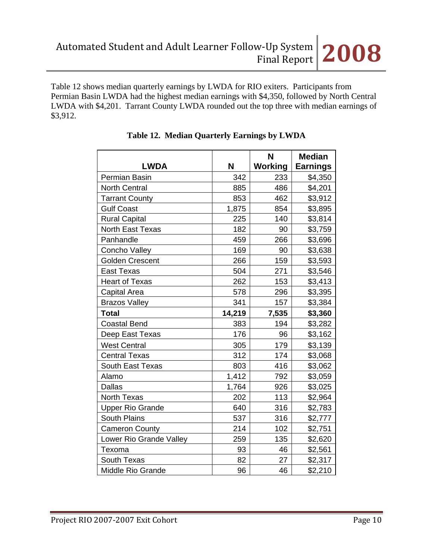Table 12 shows median quarterly earnings by LWDA for RIO exiters. Participants from Permian Basin LWDA had the highest median earnings with \$4,350, followed by North Central LWDA with \$4,201. Tarrant County LWDA rounded out the top three with median earnings of \$3,912.

| <b>LWDA</b>              | N      | N<br>Working | <b>Median</b><br><b>Earnings</b> |
|--------------------------|--------|--------------|----------------------------------|
| Permian Basin            | 342    | 233          | \$4,350                          |
| <b>North Central</b>     | 885    | 486          | \$4,201                          |
| <b>Tarrant County</b>    | 853    | 462          | \$3,912                          |
| <b>Gulf Coast</b>        | 1,875  | 854          | \$3,895                          |
| <b>Rural Capital</b>     | 225    | 140          | \$3,814                          |
| <b>North East Texas</b>  | 182    | 90           | \$3,759                          |
| Panhandle                | 459    | 266          | \$3,696                          |
| Concho Valley            | 169    | 90           | \$3,638                          |
| <b>Golden Crescent</b>   | 266    | 159          | \$3,593                          |
| <b>East Texas</b>        | 504    | 271          | \$3,546                          |
| <b>Heart of Texas</b>    | 262    | 153          | \$3,413                          |
| <b>Capital Area</b>      | 578    | 296          | \$3,395                          |
| <b>Brazos Valley</b>     | 341    | 157          | \$3,384                          |
| <b>Total</b>             | 14,219 | 7,535        | \$3,360                          |
| <b>Coastal Bend</b>      | 383    | 194          | \$3,282                          |
| Deep East Texas          | 176    | 96           | \$3,162                          |
| <b>West Central</b>      | 305    | 179          | \$3,139                          |
| <b>Central Texas</b>     | 312    | 174          | \$3,068                          |
| South East Texas         | 803    | 416          | \$3,062                          |
| Alamo                    | 1,412  | 792          | \$3,059                          |
| <b>Dallas</b>            | 1,764  | 926          | \$3,025                          |
| <b>North Texas</b>       | 202    | 113          | \$2,964                          |
| <b>Upper Rio Grande</b>  | 640    | 316          | \$2,783                          |
| <b>South Plains</b>      | 537    | 316          | \$2,777                          |
| <b>Cameron County</b>    | 214    | 102          | \$2,751                          |
| Lower Rio Grande Valley  | 259    | 135          | \$2,620                          |
| Texoma                   | 93     | 46           | \$2,561                          |
| South Texas              | 82     | 27           | \$2,317                          |
| <b>Middle Rio Grande</b> | 96     | 46           | \$2,210                          |

**Table 12. Median Quarterly Earnings by LWDA**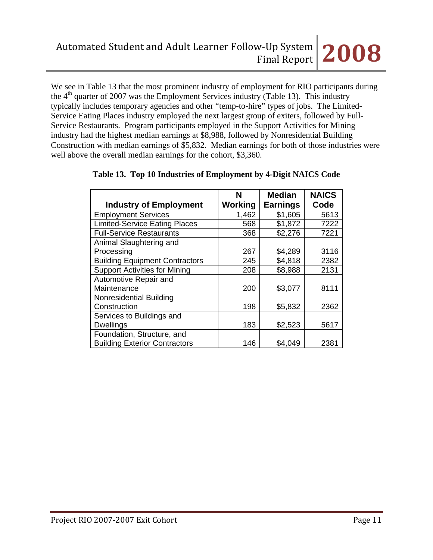We see in Table 13 that the most prominent industry of employment for RIO participants during the  $4<sup>th</sup>$  quarter of 2007 was the Employment Services industry (Table 13). This industry typically includes temporary agencies and other "temp-to-hire" types of jobs. The Limited-Service Eating Places industry employed the next largest group of exiters, followed by Full-Service Restaurants. Program participants employed in the Support Activities for Mining industry had the highest median earnings at \$8,988, followed by Nonresidential Building Construction with median earnings of \$5,832. Median earnings for both of those industries were well above the overall median earnings for the cohort, \$3,360.

|                                       | <b>Median</b><br>N |                 | <b>NAICS</b> |  |
|---------------------------------------|--------------------|-----------------|--------------|--|
| <b>Industry of Employment</b>         | Working            | <b>Earnings</b> | Code         |  |
| <b>Employment Services</b>            | 1,462              | \$1,605         | 5613         |  |
| <b>Limited-Service Eating Places</b>  | 568                | \$1,872         | 7222         |  |
| <b>Full-Service Restaurants</b>       | 368                | \$2,276         | 7221         |  |
| Animal Slaughtering and               |                    |                 |              |  |
| Processing                            | 267                | \$4,289         | 3116         |  |
| <b>Building Equipment Contractors</b> | 245                | \$4,818         | 2382         |  |
| <b>Support Activities for Mining</b>  | 208                | \$8,988         | 2131         |  |
| Automotive Repair and                 |                    |                 |              |  |
| Maintenance                           | 200                | \$3,077         | 8111         |  |
| Nonresidential Building               |                    |                 |              |  |
| Construction                          | 198                | \$5,832         | 2362         |  |
| Services to Buildings and             |                    |                 |              |  |
| <b>Dwellings</b>                      | 183                | \$2,523         | 5617         |  |
| Foundation, Structure, and            |                    |                 |              |  |
| <b>Building Exterior Contractors</b>  | 146                | \$4,049         | 2381         |  |

## **Table 13. Top 10 Industries of Employment by 4-Digit NAICS Code**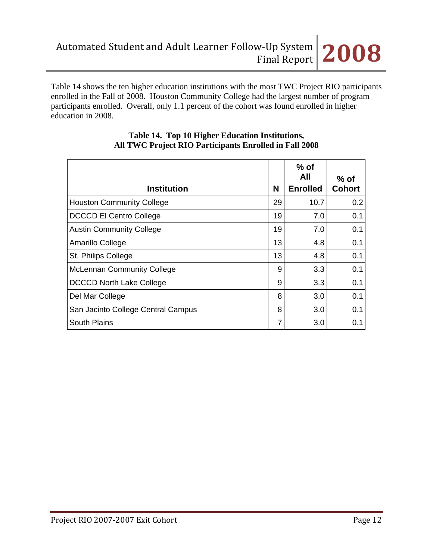Table 14 shows the ten higher education institutions with the most TWC Project RIO participants enrolled in the Fall of 2008. Houston Community College had the largest number of program participants enrolled. Overall, only 1.1 percent of the cohort was found enrolled in higher education in 2008.

| <b>Institution</b>                 | N  | $%$ of<br>All<br><b>Enrolled</b> | $%$ of<br><b>Cohort</b> |
|------------------------------------|----|----------------------------------|-------------------------|
| <b>Houston Community College</b>   | 29 | 10.7                             | 0.2                     |
| <b>DCCCD El Centro College</b>     | 19 | 7.0                              | 0.1                     |
| <b>Austin Community College</b>    | 19 | 7.0                              | 0.1                     |
| Amarillo College                   | 13 | 4.8                              | 0.1                     |
| St. Philips College                | 13 | 4.8                              | 0.1                     |
| <b>McLennan Community College</b>  | 9  | 3.3                              | 0.1                     |
| <b>DCCCD North Lake College</b>    | 9  | 3.3                              | 0.1                     |
| Del Mar College                    | 8  | 3.0                              | 0.1                     |
| San Jacinto College Central Campus | 8  | 3.0                              | 0.1                     |
| <b>South Plains</b>                | 7  | 3.0                              | 0.1                     |

#### **Table 14. Top 10 Higher Education Institutions, All TWC Project RIO Participants Enrolled in Fall 2008**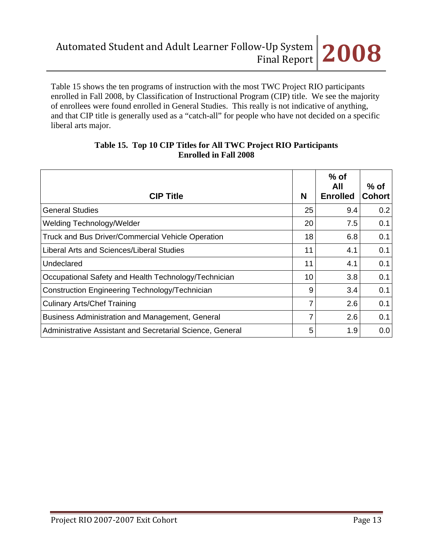Table 15 shows the ten programs of instruction with the most TWC Project RIO participants enrolled in Fall 2008, by Classification of Instructional Program (CIP) title. We see the majority of enrollees were found enrolled in General Studies. This really is not indicative of anything, and that CIP title is generally used as a "catch-all" for people who have not decided on a specific liberal arts major.

| <b>CIP Title</b>                                          | N  | $%$ of<br>All<br><b>Enrolled</b> | $%$ of<br><b>Cohort</b> |
|-----------------------------------------------------------|----|----------------------------------|-------------------------|
| <b>General Studies</b>                                    | 25 | 9.4                              | 0.2                     |
| Welding Technology/Welder                                 | 20 | 7.5                              | 0.1                     |
| Truck and Bus Driver/Commercial Vehicle Operation         | 18 | 6.8                              | 0.1                     |
| Liberal Arts and Sciences/Liberal Studies                 | 11 | 4.1                              | 0.1                     |
| Undeclared                                                | 11 | 4.1                              | 0.1                     |
| Occupational Safety and Health Technology/Technician      | 10 | 3.8                              | 0.1                     |
| Construction Engineering Technology/Technician            | 9  | 3.4                              | 0.1                     |
| <b>Culinary Arts/Chef Training</b>                        | 7  | 2.6                              | 0.1                     |
| Business Administration and Management, General           | 7  | 2.6                              | 0.1                     |
| Administrative Assistant and Secretarial Science, General | 5  | 1.9                              | 0.0                     |

#### **Table 15. Top 10 CIP Titles for All TWC Project RIO Participants Enrolled in Fall 2008**